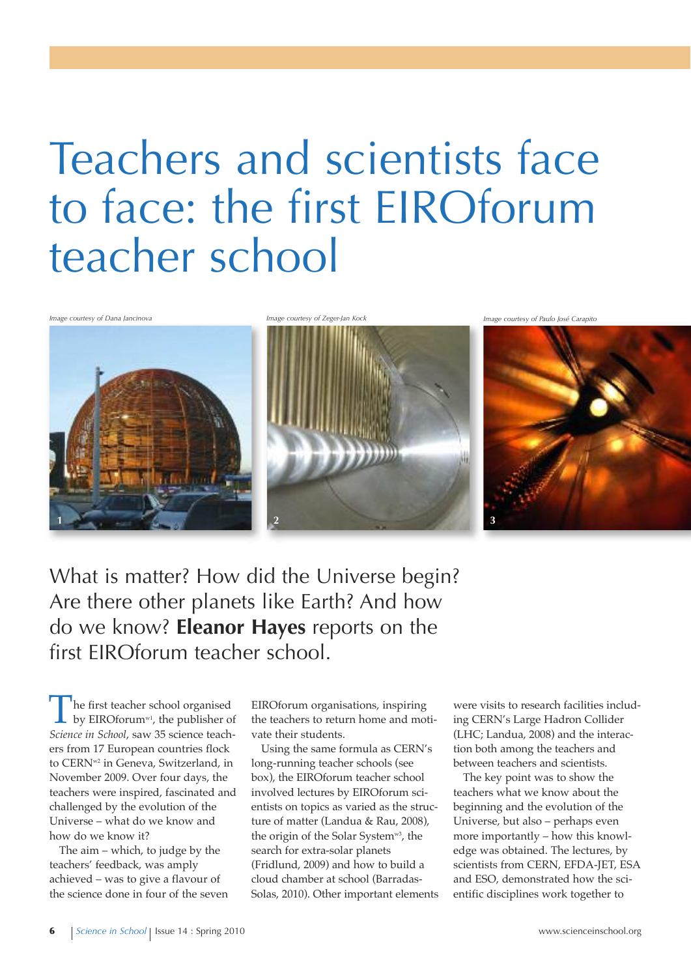# Teachers and scientists face to face: the first EIROforum teacher school



What is matter? How did the Universe begin? Are there other planets like Earth? And how do we know? **Eleanor Hayes** reports on the first EIROforum teacher school.

The first teacher school organised by EIROforum<sup>w1</sup>, the publisher of *Science in School*, saw 35 science teachers from 17 European countries flock to CERNw2 in Geneva, Switzerland, in November 2009. Over four days, the teachers were inspired, fascinated and challenged by the evolution of the Universe – what do we know and how do we know it?

The aim – which, to judge by the teachers' feedback, was amply achieved – was to give a flavour of the science done in four of the seven EIROforum organisations, inspiring the teachers to return home and motivate their students.

Using the same formula as CERN's long-running teacher schools (see box), the EIROforum teacher school involved lectures by EIROforum scientists on topics as varied as the structure of matter (Landua & Rau, 2008), the origin of the Solar System<sup>w3</sup>, the search for extra-solar planets (Fridlund, 2009) and how to build a cloud chamber at school (Barradas-Solas, 2010). Other important elements

were visits to research facilities including CERN's Large Hadron Collider (LHC; Landua, 2008) and the interaction both among the teachers and between teachers and scientists.

The key point was to show the teachers what we know about the beginning and the evolution of the Universe, but also – perhaps even more importantly – how this knowledge was obtained. The lectures, by scientists from CERN, EFDA-JET, ESA and ESO, demonstrated how the scientific disciplines work together to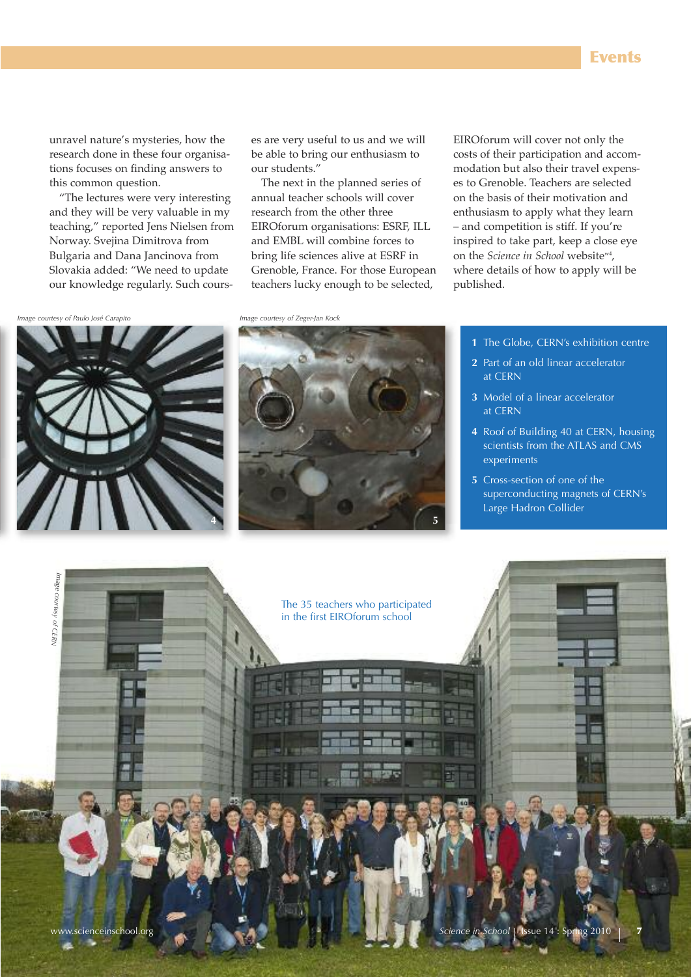unravel nature's mysteries, how the research done in these four organisations focuses on finding answers to this common question.

"The lectures were very interesting and they will be very valuable in my teaching," reported Jens Nielsen from Norway. Svejina Dimitrova from Bulgaria and Dana Jancinova from Slovakia added: "We need to update our knowledge regularly. Such courses are very useful to us and we will be able to bring our enthusiasm to our students."

The next in the planned series of annual teacher schools will cover research from the other three EIROforum organisations: ESRF, ILL and EMBL will combine forces to bring life sciences alive at ESRF in Grenoble, France. For those European teachers lucky enough to be selected,

EIROforum will cover not only the costs of their participation and accommodation but also their travel expenses to Grenoble. Teachers are selected on the basis of their motivation and enthusiasm to apply what they learn – and competition is stiff. If you're inspired to take part, keep a close eye on the *Science in School* websitew4, where details of how to apply will be published.

*Image courtesy of Paulo José Carapito Image courtesy of Zeger-Jan Kock*





- **1** The Globe, CERN's exhibition centre
- **2** Part of an old linear accelerator at CERN
- **3** Model of a linear accelerator at CERN
- **4** Roof of Building 40 at CERN, housing scientists from the ATLAS and CMS experiments
- **5** Cross-section of one of the superconducting magnets of CERN's Large Hadron Collider

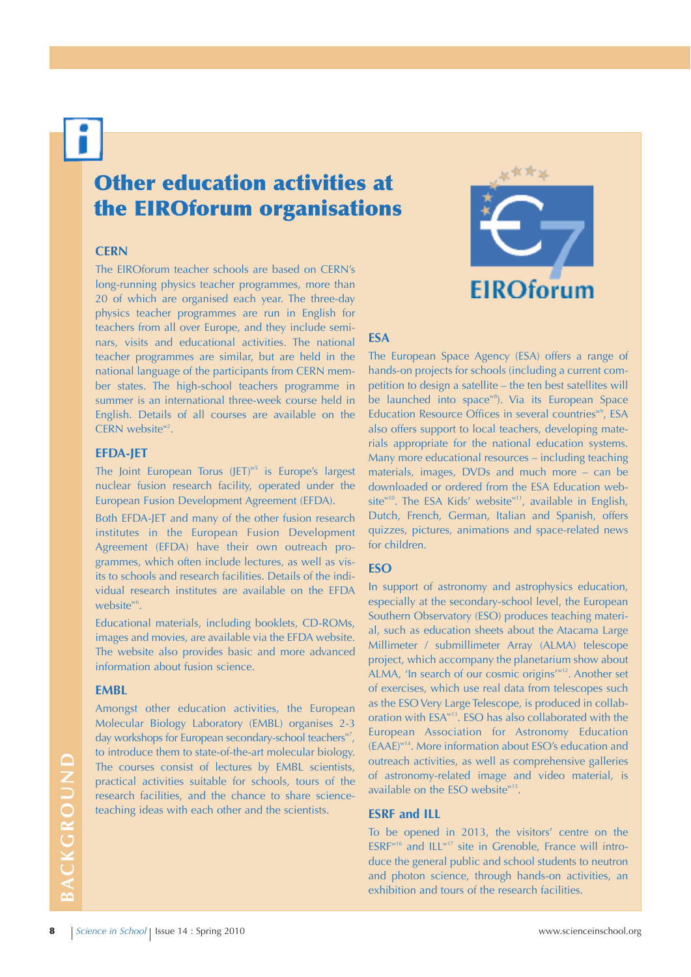# **Other education activities at the EIROforum organisations**

### **CERn**

The EIROforum teacher schools are based on CERN's long-running physics teacher programmes, more than 20 of which are organised each year. The three-day physics teacher programmes are run in English for teachers from all over Europe, and they include seminars, visits and educational activities. The national teacher programmes are similar, but are held in the national language of the participants from CERN member states. The high-school teachers programme in summer is an international three-week course held in English. Details of all courses are available on the CERN website $w^2$ .

#### **EFdA-JET**

The Joint European Torus (JET)<sup>w5</sup> is Europe's largest nuclear fusion research facility, operated under the European Fusion Development Agreement (EFDA).

Both EFDA-JET and many of the other fusion research institutes in the European Fusion Development Agreement (EFDA) have their own outreach programmes, which often include lectures, as well as visits to schools and research facilities. Details of the individual research institutes are available on the EFDA website $\mathsf{^{w6}}$ .

Educational materials, including booklets, CD-ROMs, images and movies, are available via the EFDA website. The website also provides basic and more advanced information about fusion science.

#### **EMBL**

Amongst other education activities, the European Molecular Biology Laboratory (EMBL) organises 2-3 day workshops for European secondary-school teachers<sup>w7</sup>, to introduce them to state-of-the-art molecular biology. The courses consist of lectures by EMBL scientists, practical activities suitable for schools, tours of the research facilities, and the chance to share scienceteaching ideas with each other and the scientists.



# **ESA**

The European Space Agency (ESA) offers a range of hands-on projects for schools (including a current competition to design a satellite – the ten best satellites will be launched into space<sup>w8</sup>). Via its European Space Education Resource Offices in several countries<sup>w9</sup>, ESA also offers support to local teachers, developing materials appropriate for the national education systems. Many more educational resources – including teaching materials, images, DVDs and much more – can be downloaded or ordered from the ESA Education website<sup>w10</sup>. The ESA Kids' website<sup>w11</sup>, available in English, Dutch, French, German, Italian and Spanish, offers quizzes, pictures, animations and space-related news for children.

# **ESO**

In support of astronomy and astrophysics education, especially at the secondary-school level, the European Southern Observatory (ESO) produces teaching material, such as education sheets about the Atacama Large Millimeter / submillimeter Array (ALMA) telescope project, which accompany the planetarium show about ALMA, 'In search of our cosmic origins'<sup>w12</sup>. Another set of exercises, which use real data from telescopes such as the ESO Very Large Telescope, is produced in collaboration with ESA<sup>w13</sup>. ESO has also collaborated with the European Association for Astronomy Education (EAAE) w14 . More information about ESO's education and outreach activities, as well as comprehensive galleries of astronomy-related image and video material, is available on the ESO website<sup>w15</sup>.

#### **ESRF and ILL**

To be opened in 2013, the visitors' centre on the ESRF<sup>w16</sup> and ILL<sup>w17</sup> site in Grenoble, France will introduce the general public and school students to neutron and photon science, through hands-on activities, an exhibition and tours of the research facilities.